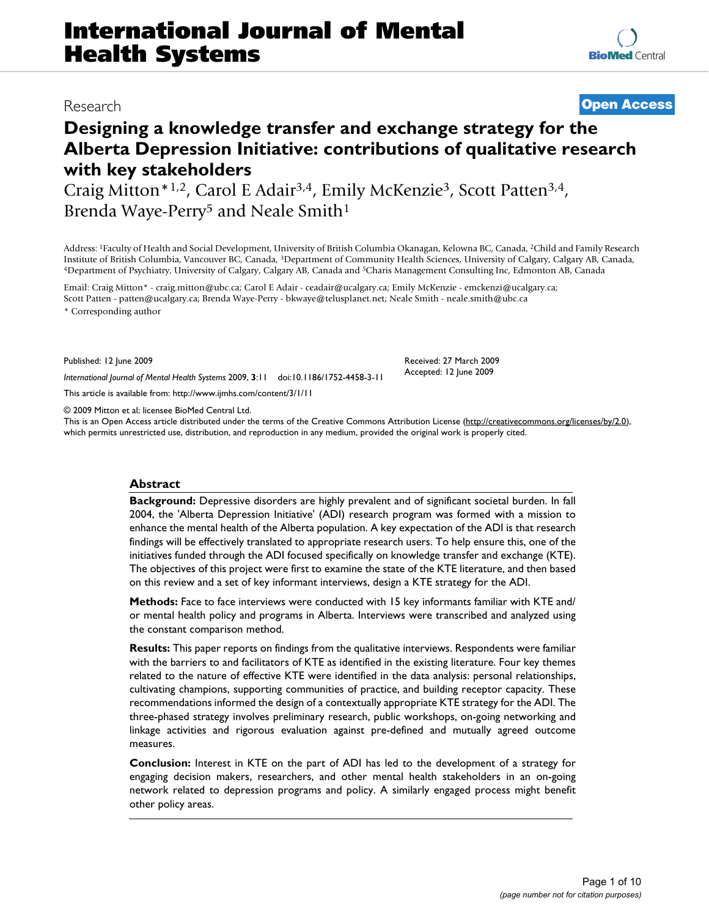# **Designing a knowledge transfer and exchange strategy for the Alberta Depression Initiative: contributions of qualitative research with key stakeholders**

Craig Mitton\*1,2, Carol E Adair<sup>3,4</sup>, Emily McKenzie<sup>3</sup>, Scott Patten<sup>3,4</sup>, Brenda Waye-Perry<sup>5</sup> and Neale Smith<sup>1</sup>

Address: 1Faculty of Health and Social Development, University of British Columbia Okanagan, Kelowna BC, Canada, 2Child and Family Research Institute of British Columbia, Vancouver BC, Canada, <sup>3</sup>Department of Community Health Sciences, University of Calgary, Calgary AB, Canada, <sup>4</sup>Department of Psychiatry, University of Calgary, Calgary AB, Canada, <sup>4</sup>Departm

Email: Craig Mitton\* - craig.mitton@ubc.ca; Carol E Adair - ceadair@ucalgary.ca; Emily McKenzie - emckenzi@ucalgary.ca; Scott Patten - patten@ucalgary.ca; Brenda Waye-Perry - bkwaye@telusplanet.net; Neale Smith - neale.smith@ubc.ca \* Corresponding author

Published: 12 June 2009

*International Journal of Mental Health Systems* 2009, **3**:11 doi:10.1186/1752-4458-3-11

[This article is available from: http://www.ijmhs.com/content/3/1/11](http://www.ijmhs.com/content/3/1/11)

© 2009 Mitton et al; licensee BioMed Central Ltd.

This is an Open Access article distributed under the terms of the Creative Commons Attribution License [\(http://creativecommons.org/licenses/by/2.0\)](http://creativecommons.org/licenses/by/2.0), which permits unrestricted use, distribution, and reproduction in any medium, provided the original work is properly cited.

#### **Abstract**

**Background:** Depressive disorders are highly prevalent and of significant societal burden. In fall 2004, the 'Alberta Depression Initiative' (ADI) research program was formed with a mission to enhance the mental health of the Alberta population. A key expectation of the ADI is that research findings will be effectively translated to appropriate research users. To help ensure this, one of the initiatives funded through the ADI focused specifically on knowledge transfer and exchange (KTE). The objectives of this project were first to examine the state of the KTE literature, and then based on this review and a set of key informant interviews, design a KTE strategy for the ADI.

**Methods:** Face to face interviews were conducted with 15 key informants familiar with KTE and/ or mental health policy and programs in Alberta. Interviews were transcribed and analyzed using the constant comparison method.

**Results:** This paper reports on findings from the qualitative interviews. Respondents were familiar with the barriers to and facilitators of KTE as identified in the existing literature. Four key themes related to the nature of effective KTE were identified in the data analysis: personal relationships, cultivating champions, supporting communities of practice, and building receptor capacity. These recommendations informed the design of a contextually appropriate KTE strategy for the ADI. The three-phased strategy involves preliminary research, public workshops, on-going networking and linkage activities and rigorous evaluation against pre-defined and mutually agreed outcome measures.

**Conclusion:** Interest in KTE on the part of ADI has led to the development of a strategy for engaging decision makers, researchers, and other mental health stakeholders in an on-going network related to depression programs and policy. A similarly engaged process might benefit other policy areas.

Research **[Open Access](http://www.biomedcentral.com/info/about/charter/)**

Received: 27 March 2009 Accepted: 12 June 2009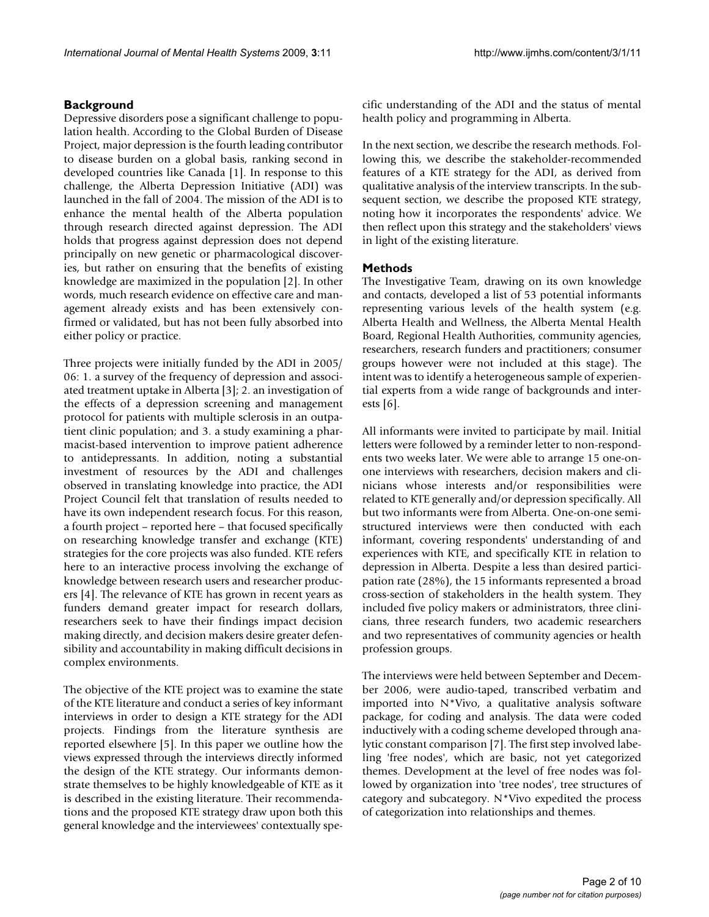#### **Background**

Depressive disorders pose a significant challenge to population health. According to the Global Burden of Disease Project, major depression is the fourth leading contributor to disease burden on a global basis, ranking second in developed countries like Canada [1]. In response to this challenge, the Alberta Depression Initiative (ADI) was launched in the fall of 2004. The mission of the ADI is to enhance the mental health of the Alberta population through research directed against depression. The ADI holds that progress against depression does not depend principally on new genetic or pharmacological discoveries, but rather on ensuring that the benefits of existing knowledge are maximized in the population [2]. In other words, much research evidence on effective care and management already exists and has been extensively confirmed or validated, but has not been fully absorbed into either policy or practice.

Three projects were initially funded by the ADI in 2005/ 06: 1. a survey of the frequency of depression and associated treatment uptake in Alberta [3]; 2. an investigation of the effects of a depression screening and management protocol for patients with multiple sclerosis in an outpatient clinic population; and 3. a study examining a pharmacist-based intervention to improve patient adherence to antidepressants. In addition, noting a substantial investment of resources by the ADI and challenges observed in translating knowledge into practice, the ADI Project Council felt that translation of results needed to have its own independent research focus. For this reason, a fourth project – reported here – that focused specifically on researching knowledge transfer and exchange (KTE) strategies for the core projects was also funded. KTE refers here to an interactive process involving the exchange of knowledge between research users and researcher producers [4]. The relevance of KTE has grown in recent years as funders demand greater impact for research dollars, researchers seek to have their findings impact decision making directly, and decision makers desire greater defensibility and accountability in making difficult decisions in complex environments.

The objective of the KTE project was to examine the state of the KTE literature and conduct a series of key informant interviews in order to design a KTE strategy for the ADI projects. Findings from the literature synthesis are reported elsewhere [5]. In this paper we outline how the views expressed through the interviews directly informed the design of the KTE strategy. Our informants demonstrate themselves to be highly knowledgeable of KTE as it is described in the existing literature. Their recommendations and the proposed KTE strategy draw upon both this general knowledge and the interviewees' contextually specific understanding of the ADI and the status of mental health policy and programming in Alberta.

In the next section, we describe the research methods. Following this, we describe the stakeholder-recommended features of a KTE strategy for the ADI, as derived from qualitative analysis of the interview transcripts. In the subsequent section, we describe the proposed KTE strategy, noting how it incorporates the respondents' advice. We then reflect upon this strategy and the stakeholders' views in light of the existing literature.

#### **Methods**

The Investigative Team, drawing on its own knowledge and contacts, developed a list of 53 potential informants representing various levels of the health system (e.g. Alberta Health and Wellness, the Alberta Mental Health Board, Regional Health Authorities, community agencies, researchers, research funders and practitioners; consumer groups however were not included at this stage). The intent was to identify a heterogeneous sample of experiential experts from a wide range of backgrounds and interests [6].

All informants were invited to participate by mail. Initial letters were followed by a reminder letter to non-respondents two weeks later. We were able to arrange 15 one-onone interviews with researchers, decision makers and clinicians whose interests and/or responsibilities were related to KTE generally and/or depression specifically. All but two informants were from Alberta. One-on-one semistructured interviews were then conducted with each informant, covering respondents' understanding of and experiences with KTE, and specifically KTE in relation to depression in Alberta. Despite a less than desired participation rate (28%), the 15 informants represented a broad cross-section of stakeholders in the health system. They included five policy makers or administrators, three clinicians, three research funders, two academic researchers and two representatives of community agencies or health profession groups.

The interviews were held between September and December 2006, were audio-taped, transcribed verbatim and imported into N\*Vivo, a qualitative analysis software package, for coding and analysis. The data were coded inductively with a coding scheme developed through analytic constant comparison [7]. The first step involved labeling 'free nodes', which are basic, not yet categorized themes. Development at the level of free nodes was followed by organization into 'tree nodes', tree structures of category and subcategory. N\*Vivo expedited the process of categorization into relationships and themes.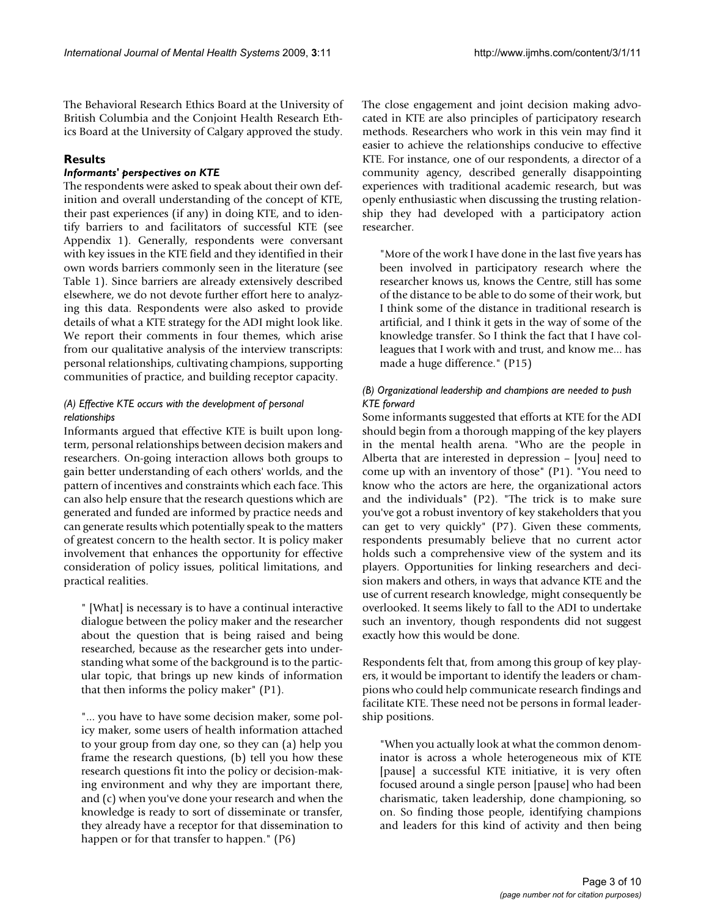The Behavioral Research Ethics Board at the University of British Columbia and the Conjoint Health Research Ethics Board at the University of Calgary approved the study.

# **Results**

# *Informants' perspectives on KTE*

The respondents were asked to speak about their own definition and overall understanding of the concept of KTE, their past experiences (if any) in doing KTE, and to identify barriers to and facilitators of successful KTE (see Appendix 1). Generally, respondents were conversant with key issues in the KTE field and they identified in their own words barriers commonly seen in the literature (see Table 1). Since barriers are already extensively described elsewhere, we do not devote further effort here to analyzing this data. Respondents were also asked to provide details of what a KTE strategy for the ADI might look like. We report their comments in four themes, which arise from our qualitative analysis of the interview transcripts: personal relationships, cultivating champions, supporting communities of practice, and building receptor capacity.

# *(A) Effective KTE occurs with the development of personal relationships*

Informants argued that effective KTE is built upon longterm, personal relationships between decision makers and researchers. On-going interaction allows both groups to gain better understanding of each others' worlds, and the pattern of incentives and constraints which each face. This can also help ensure that the research questions which are generated and funded are informed by practice needs and can generate results which potentially speak to the matters of greatest concern to the health sector. It is policy maker involvement that enhances the opportunity for effective consideration of policy issues, political limitations, and practical realities.

" [What] is necessary is to have a continual interactive dialogue between the policy maker and the researcher about the question that is being raised and being researched, because as the researcher gets into understanding what some of the background is to the particular topic, that brings up new kinds of information that then informs the policy maker" (P1).

"... you have to have some decision maker, some policy maker, some users of health information attached to your group from day one, so they can (a) help you frame the research questions, (b) tell you how these research questions fit into the policy or decision-making environment and why they are important there, and (c) when you've done your research and when the knowledge is ready to sort of disseminate or transfer, they already have a receptor for that dissemination to happen or for that transfer to happen." (P6)

The close engagement and joint decision making advocated in KTE are also principles of participatory research methods. Researchers who work in this vein may find it easier to achieve the relationships conducive to effective KTE. For instance, one of our respondents, a director of a community agency, described generally disappointing experiences with traditional academic research, but was openly enthusiastic when discussing the trusting relationship they had developed with a participatory action researcher.

"More of the work I have done in the last five years has been involved in participatory research where the researcher knows us, knows the Centre, still has some of the distance to be able to do some of their work, but I think some of the distance in traditional research is artificial, and I think it gets in the way of some of the knowledge transfer. So I think the fact that I have colleagues that I work with and trust, and know me... has made a huge difference." (P15)

# *(B) Organizational leadership and champions are needed to push KTE forward*

Some informants suggested that efforts at KTE for the ADI should begin from a thorough mapping of the key players in the mental health arena. "Who are the people in Alberta that are interested in depression – [you] need to come up with an inventory of those" (P1). "You need to know who the actors are here, the organizational actors and the individuals" (P2). "The trick is to make sure you've got a robust inventory of key stakeholders that you can get to very quickly" (P7). Given these comments, respondents presumably believe that no current actor holds such a comprehensive view of the system and its players. Opportunities for linking researchers and decision makers and others, in ways that advance KTE and the use of current research knowledge, might consequently be overlooked. It seems likely to fall to the ADI to undertake such an inventory, though respondents did not suggest exactly how this would be done.

Respondents felt that, from among this group of key players, it would be important to identify the leaders or champions who could help communicate research findings and facilitate KTE. These need not be persons in formal leadership positions.

"When you actually look at what the common denominator is across a whole heterogeneous mix of KTE [pause] a successful KTE initiative, it is very often focused around a single person [pause] who had been charismatic, taken leadership, done championing, so on. So finding those people, identifying champions and leaders for this kind of activity and then being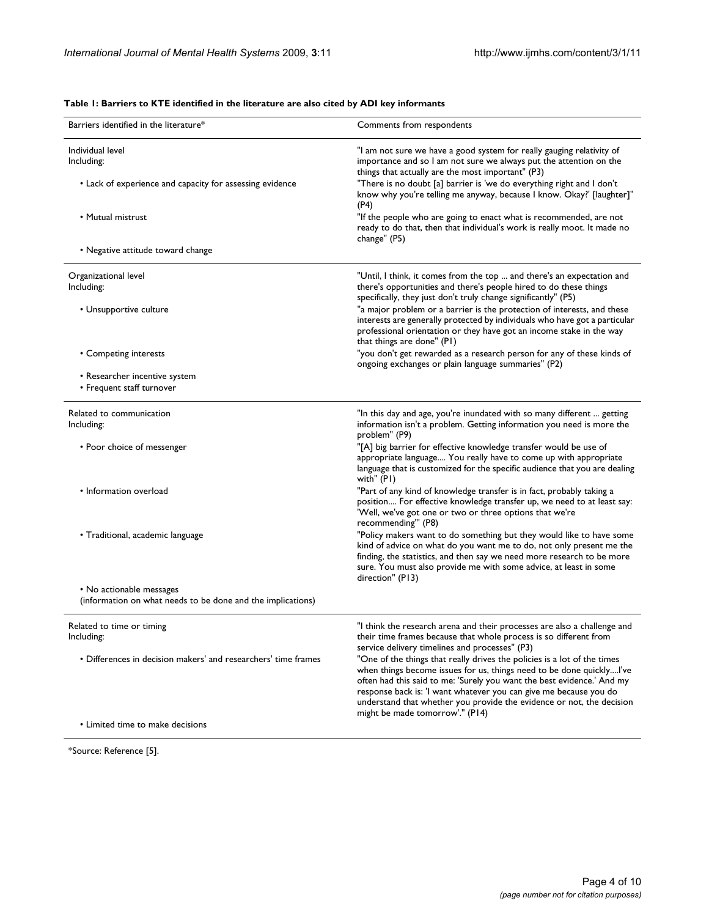#### **Table 1: Barriers to KTE identified in the literature are also cited by ADI key informants**

| Barriers identified in the literature*                                                  | Comments from respondents                                                                                                                                                                                                                                                                                                                                                                                   |
|-----------------------------------------------------------------------------------------|-------------------------------------------------------------------------------------------------------------------------------------------------------------------------------------------------------------------------------------------------------------------------------------------------------------------------------------------------------------------------------------------------------------|
| Individual level<br>Including:                                                          | "I am not sure we have a good system for really gauging relativity of<br>importance and so I am not sure we always put the attention on the<br>things that actually are the most important" (P3)                                                                                                                                                                                                            |
| • Lack of experience and capacity for assessing evidence                                | "There is no doubt [a] barrier is 'we do everything right and I don't<br>know why you're telling me anyway, because I know. Okay!' [laughter]"<br>(P4)                                                                                                                                                                                                                                                      |
| • Mutual mistrust                                                                       | "If the people who are going to enact what is recommended, are not<br>ready to do that, then that individual's work is really moot. It made no<br>change" (P5)                                                                                                                                                                                                                                              |
| • Negative attitude toward change                                                       |                                                                                                                                                                                                                                                                                                                                                                                                             |
| Organizational level<br>Including:                                                      | "Until, I think, it comes from the top  and there's an expectation and<br>there's opportunities and there's people hired to do these things<br>specifically, they just don't truly change significantly" (P5)                                                                                                                                                                                               |
| • Unsupportive culture                                                                  | "a major problem or a barrier is the protection of interests, and these<br>interests are generally protected by individuals who have got a particular<br>professional orientation or they have got an income stake in the way<br>that things are done" (PI)                                                                                                                                                 |
| • Competing interests                                                                   | "you don't get rewarded as a research person for any of these kinds of<br>ongoing exchanges or plain language summaries" (P2)                                                                                                                                                                                                                                                                               |
| • Researcher incentive system<br>• Frequent staff turnover                              |                                                                                                                                                                                                                                                                                                                                                                                                             |
| Related to communication<br>Including:                                                  | "In this day and age, you're inundated with so many different  getting<br>information isn't a problem. Getting information you need is more the<br>problem" (P9)                                                                                                                                                                                                                                            |
| • Poor choice of messenger                                                              | "[A] big barrier for effective knowledge transfer would be use of<br>appropriate language You really have to come up with appropriate<br>language that is customized for the specific audience that you are dealing<br>with" (P1)                                                                                                                                                                           |
| • Information overload                                                                  | "Part of any kind of knowledge transfer is in fact, probably taking a<br>position For effective knowledge transfer up, we need to at least say:<br>'Well, we've got one or two or three options that we're<br>recommending"" (P8)                                                                                                                                                                           |
| • Traditional, academic language                                                        | "Policy makers want to do something but they would like to have some<br>kind of advice on what do you want me to do, not only present me the<br>finding, the statistics, and then say we need more research to be more<br>sure. You must also provide me with some advice, at least in some<br>direction" (P13)                                                                                             |
| • No actionable messages<br>(information on what needs to be done and the implications) |                                                                                                                                                                                                                                                                                                                                                                                                             |
| Related to time or timing<br>Including:                                                 | "I think the research arena and their processes are also a challenge and<br>their time frames because that whole process is so different from<br>service delivery timelines and processes" (P3)                                                                                                                                                                                                             |
| • Differences in decision makers' and researchers' time frames                          | "One of the things that really drives the policies is a lot of the times<br>when things become issues for us, things need to be done quicklyI've<br>often had this said to me: 'Surely you want the best evidence.' And my<br>response back is: 'I want whatever you can give me because you do<br>understand that whether you provide the evidence or not, the decision<br>might be made tomorrow'." (P14) |
| • Limited time to make decisions                                                        |                                                                                                                                                                                                                                                                                                                                                                                                             |

\*Source: Reference [5].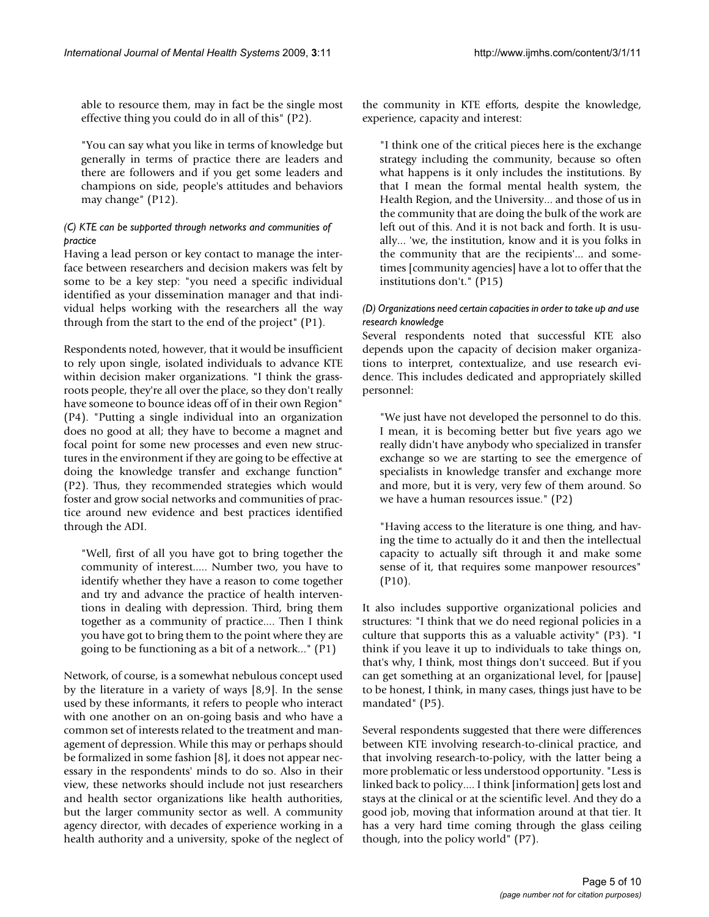able to resource them, may in fact be the single most effective thing you could do in all of this" (P2).

"You can say what you like in terms of knowledge but generally in terms of practice there are leaders and there are followers and if you get some leaders and champions on side, people's attitudes and behaviors may change" (P12).

# *(C) KTE can be supported through networks and communities of practice*

Having a lead person or key contact to manage the interface between researchers and decision makers was felt by some to be a key step: "you need a specific individual identified as your dissemination manager and that individual helps working with the researchers all the way through from the start to the end of the project" (P1).

Respondents noted, however, that it would be insufficient to rely upon single, isolated individuals to advance KTE within decision maker organizations. "I think the grassroots people, they're all over the place, so they don't really have someone to bounce ideas off of in their own Region" (P4). "Putting a single individual into an organization does no good at all; they have to become a magnet and focal point for some new processes and even new structures in the environment if they are going to be effective at doing the knowledge transfer and exchange function" (P2). Thus, they recommended strategies which would foster and grow social networks and communities of practice around new evidence and best practices identified through the ADI.

"Well, first of all you have got to bring together the community of interest..... Number two, you have to identify whether they have a reason to come together and try and advance the practice of health interventions in dealing with depression. Third, bring them together as a community of practice.... Then I think you have got to bring them to the point where they are going to be functioning as a bit of a network..." (P1)

Network, of course, is a somewhat nebulous concept used by the literature in a variety of ways [8,9]. In the sense used by these informants, it refers to people who interact with one another on an on-going basis and who have a common set of interests related to the treatment and management of depression. While this may or perhaps should be formalized in some fashion [8], it does not appear necessary in the respondents' minds to do so. Also in their view, these networks should include not just researchers and health sector organizations like health authorities, but the larger community sector as well. A community agency director, with decades of experience working in a health authority and a university, spoke of the neglect of the community in KTE efforts, despite the knowledge, experience, capacity and interest:

"I think one of the critical pieces here is the exchange strategy including the community, because so often what happens is it only includes the institutions. By that I mean the formal mental health system, the Health Region, and the University... and those of us in the community that are doing the bulk of the work are left out of this. And it is not back and forth. It is usually... 'we, the institution, know and it is you folks in the community that are the recipients'... and sometimes [community agencies] have a lot to offer that the institutions don't." (P15)

#### *(D) Organizations need certain capacities in order to take up and use research knowledge*

Several respondents noted that successful KTE also depends upon the capacity of decision maker organizations to interpret, contextualize, and use research evidence. This includes dedicated and appropriately skilled personnel:

"We just have not developed the personnel to do this. I mean, it is becoming better but five years ago we really didn't have anybody who specialized in transfer exchange so we are starting to see the emergence of specialists in knowledge transfer and exchange more and more, but it is very, very few of them around. So we have a human resources issue." (P2)

"Having access to the literature is one thing, and having the time to actually do it and then the intellectual capacity to actually sift through it and make some sense of it, that requires some manpower resources" (P10).

It also includes supportive organizational policies and structures: "I think that we do need regional policies in a culture that supports this as a valuable activity" (P3). "I think if you leave it up to individuals to take things on, that's why, I think, most things don't succeed. But if you can get something at an organizational level, for [pause] to be honest, I think, in many cases, things just have to be mandated" (P5).

Several respondents suggested that there were differences between KTE involving research-to-clinical practice, and that involving research-to-policy, with the latter being a more problematic or less understood opportunity. "Less is linked back to policy.... I think [information] gets lost and stays at the clinical or at the scientific level. And they do a good job, moving that information around at that tier. It has a very hard time coming through the glass ceiling though, into the policy world" (P7).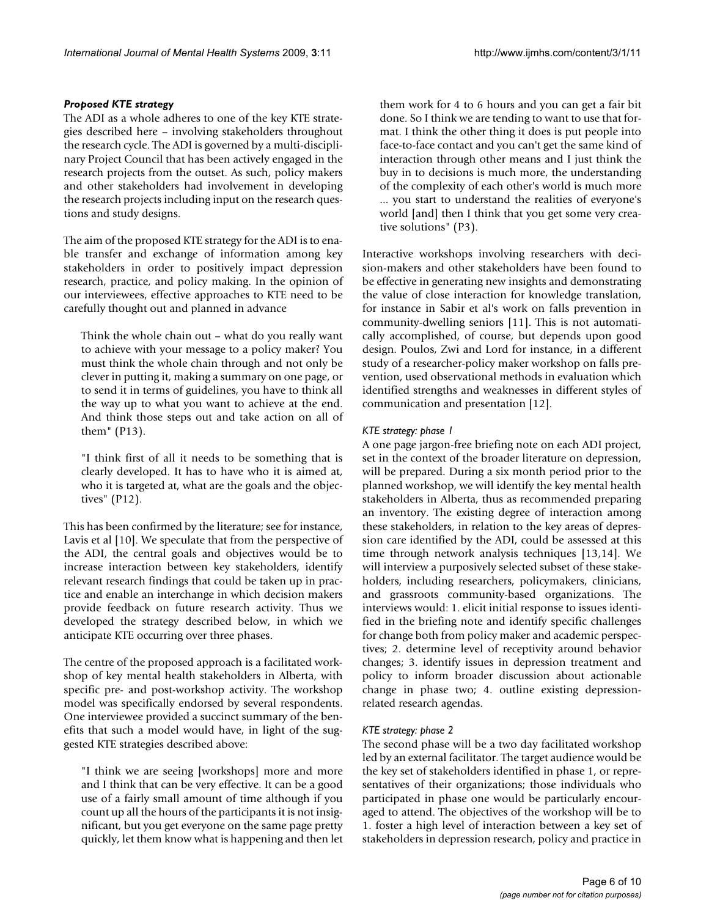#### *Proposed KTE strategy*

The ADI as a whole adheres to one of the key KTE strategies described here – involving stakeholders throughout the research cycle. The ADI is governed by a multi-disciplinary Project Council that has been actively engaged in the research projects from the outset. As such, policy makers and other stakeholders had involvement in developing the research projects including input on the research questions and study designs.

The aim of the proposed KTE strategy for the ADI is to enable transfer and exchange of information among key stakeholders in order to positively impact depression research, practice, and policy making. In the opinion of our interviewees, effective approaches to KTE need to be carefully thought out and planned in advance

Think the whole chain out – what do you really want to achieve with your message to a policy maker? You must think the whole chain through and not only be clever in putting it, making a summary on one page, or to send it in terms of guidelines, you have to think all the way up to what you want to achieve at the end. And think those steps out and take action on all of them" (P13).

"I think first of all it needs to be something that is clearly developed. It has to have who it is aimed at, who it is targeted at, what are the goals and the objectives" (P12).

This has been confirmed by the literature; see for instance, Lavis et al [10]. We speculate that from the perspective of the ADI, the central goals and objectives would be to increase interaction between key stakeholders, identify relevant research findings that could be taken up in practice and enable an interchange in which decision makers provide feedback on future research activity. Thus we developed the strategy described below, in which we anticipate KTE occurring over three phases.

The centre of the proposed approach is a facilitated workshop of key mental health stakeholders in Alberta, with specific pre- and post-workshop activity. The workshop model was specifically endorsed by several respondents. One interviewee provided a succinct summary of the benefits that such a model would have, in light of the suggested KTE strategies described above:

"I think we are seeing [workshops] more and more and I think that can be very effective. It can be a good use of a fairly small amount of time although if you count up all the hours of the participants it is not insignificant, but you get everyone on the same page pretty quickly, let them know what is happening and then let

them work for 4 to 6 hours and you can get a fair bit done. So I think we are tending to want to use that format. I think the other thing it does is put people into face-to-face contact and you can't get the same kind of interaction through other means and I just think the buy in to decisions is much more, the understanding of the complexity of each other's world is much more ... you start to understand the realities of everyone's world [and] then I think that you get some very creative solutions" (P3).

Interactive workshops involving researchers with decision-makers and other stakeholders have been found to be effective in generating new insights and demonstrating the value of close interaction for knowledge translation, for instance in Sabir et al's work on falls prevention in community-dwelling seniors [11]. This is not automatically accomplished, of course, but depends upon good design. Poulos, Zwi and Lord for instance, in a different study of a researcher-policy maker workshop on falls prevention, used observational methods in evaluation which identified strengths and weaknesses in different styles of communication and presentation [12].

#### *KTE strategy: phase 1*

A one page jargon-free briefing note on each ADI project, set in the context of the broader literature on depression, will be prepared. During a six month period prior to the planned workshop, we will identify the key mental health stakeholders in Alberta, thus as recommended preparing an inventory. The existing degree of interaction among these stakeholders, in relation to the key areas of depression care identified by the ADI, could be assessed at this time through network analysis techniques [13,14]. We will interview a purposively selected subset of these stakeholders, including researchers, policymakers, clinicians, and grassroots community-based organizations. The interviews would: 1. elicit initial response to issues identified in the briefing note and identify specific challenges for change both from policy maker and academic perspectives; 2. determine level of receptivity around behavior changes; 3. identify issues in depression treatment and policy to inform broader discussion about actionable change in phase two; 4. outline existing depressionrelated research agendas.

#### *KTE strategy: phase 2*

The second phase will be a two day facilitated workshop led by an external facilitator. The target audience would be the key set of stakeholders identified in phase 1, or representatives of their organizations; those individuals who participated in phase one would be particularly encouraged to attend. The objectives of the workshop will be to 1. foster a high level of interaction between a key set of stakeholders in depression research, policy and practice in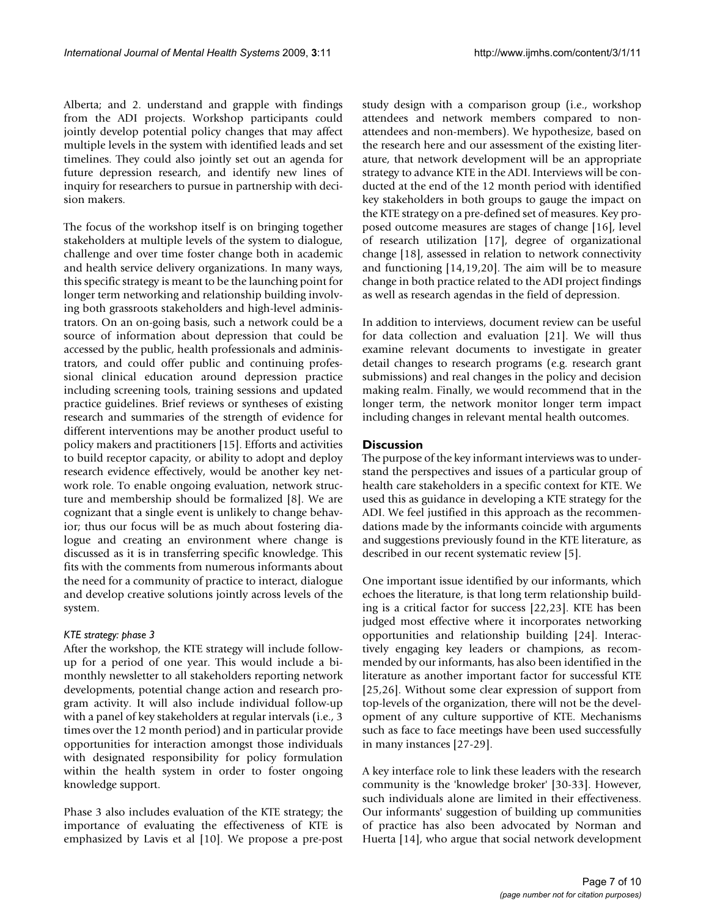Alberta; and 2. understand and grapple with findings from the ADI projects. Workshop participants could jointly develop potential policy changes that may affect multiple levels in the system with identified leads and set timelines. They could also jointly set out an agenda for future depression research, and identify new lines of inquiry for researchers to pursue in partnership with decision makers.

The focus of the workshop itself is on bringing together stakeholders at multiple levels of the system to dialogue, challenge and over time foster change both in academic and health service delivery organizations. In many ways, this specific strategy is meant to be the launching point for longer term networking and relationship building involving both grassroots stakeholders and high-level administrators. On an on-going basis, such a network could be a source of information about depression that could be accessed by the public, health professionals and administrators, and could offer public and continuing professional clinical education around depression practice including screening tools, training sessions and updated practice guidelines. Brief reviews or syntheses of existing research and summaries of the strength of evidence for different interventions may be another product useful to policy makers and practitioners [15]. Efforts and activities to build receptor capacity, or ability to adopt and deploy research evidence effectively, would be another key network role. To enable ongoing evaluation, network structure and membership should be formalized [8]. We are cognizant that a single event is unlikely to change behavior; thus our focus will be as much about fostering dialogue and creating an environment where change is discussed as it is in transferring specific knowledge. This fits with the comments from numerous informants about the need for a community of practice to interact, dialogue and develop creative solutions jointly across levels of the system.

#### *KTE strategy: phase 3*

After the workshop, the KTE strategy will include followup for a period of one year. This would include a bimonthly newsletter to all stakeholders reporting network developments, potential change action and research program activity. It will also include individual follow-up with a panel of key stakeholders at regular intervals (i.e., 3 times over the 12 month period) and in particular provide opportunities for interaction amongst those individuals with designated responsibility for policy formulation within the health system in order to foster ongoing knowledge support.

Phase 3 also includes evaluation of the KTE strategy; the importance of evaluating the effectiveness of KTE is emphasized by Lavis et al [10]. We propose a pre-post

study design with a comparison group (i.e., workshop attendees and network members compared to nonattendees and non-members). We hypothesize, based on the research here and our assessment of the existing literature, that network development will be an appropriate strategy to advance KTE in the ADI. Interviews will be conducted at the end of the 12 month period with identified key stakeholders in both groups to gauge the impact on the KTE strategy on a pre-defined set of measures. Key proposed outcome measures are stages of change [16], level of research utilization [17], degree of organizational change [18], assessed in relation to network connectivity and functioning [14,19,20]. The aim will be to measure change in both practice related to the ADI project findings as well as research agendas in the field of depression.

In addition to interviews, document review can be useful for data collection and evaluation [21]. We will thus examine relevant documents to investigate in greater detail changes to research programs (e.g. research grant submissions) and real changes in the policy and decision making realm. Finally, we would recommend that in the longer term, the network monitor longer term impact including changes in relevant mental health outcomes.

#### **Discussion**

The purpose of the key informant interviews was to understand the perspectives and issues of a particular group of health care stakeholders in a specific context for KTE. We used this as guidance in developing a KTE strategy for the ADI. We feel justified in this approach as the recommendations made by the informants coincide with arguments and suggestions previously found in the KTE literature, as described in our recent systematic review [5].

One important issue identified by our informants, which echoes the literature, is that long term relationship building is a critical factor for success [22,23]. KTE has been judged most effective where it incorporates networking opportunities and relationship building [24]. Interactively engaging key leaders or champions, as recommended by our informants, has also been identified in the literature as another important factor for successful KTE [25,26]. Without some clear expression of support from top-levels of the organization, there will not be the development of any culture supportive of KTE. Mechanisms such as face to face meetings have been used successfully in many instances [27-29].

A key interface role to link these leaders with the research community is the 'knowledge broker' [30-33]. However, such individuals alone are limited in their effectiveness. Our informants' suggestion of building up communities of practice has also been advocated by Norman and Huerta [14], who argue that social network development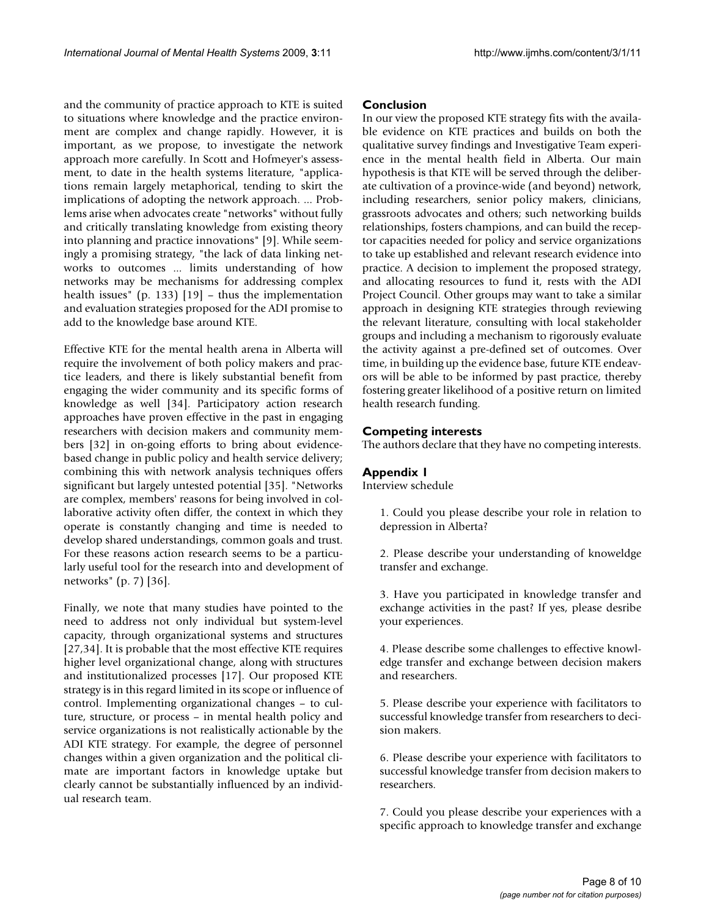and the community of practice approach to KTE is suited to situations where knowledge and the practice environment are complex and change rapidly. However, it is important, as we propose, to investigate the network approach more carefully. In Scott and Hofmeyer's assessment, to date in the health systems literature, "applications remain largely metaphorical, tending to skirt the implications of adopting the network approach. ... Problems arise when advocates create "networks" without fully and critically translating knowledge from existing theory into planning and practice innovations" [9]. While seemingly a promising strategy, "the lack of data linking networks to outcomes ... limits understanding of how networks may be mechanisms for addressing complex health issues" (p. 133) [19] – thus the implementation and evaluation strategies proposed for the ADI promise to add to the knowledge base around KTE.

Effective KTE for the mental health arena in Alberta will require the involvement of both policy makers and practice leaders, and there is likely substantial benefit from engaging the wider community and its specific forms of knowledge as well [34]. Participatory action research approaches have proven effective in the past in engaging researchers with decision makers and community members [32] in on-going efforts to bring about evidencebased change in public policy and health service delivery; combining this with network analysis techniques offers significant but largely untested potential [35]. "Networks are complex, members' reasons for being involved in collaborative activity often differ, the context in which they operate is constantly changing and time is needed to develop shared understandings, common goals and trust. For these reasons action research seems to be a particularly useful tool for the research into and development of networks" (p. 7) [36].

Finally, we note that many studies have pointed to the need to address not only individual but system-level capacity, through organizational systems and structures [27,34]. It is probable that the most effective KTE requires higher level organizational change, along with structures and institutionalized processes [17]. Our proposed KTE strategy is in this regard limited in its scope or influence of control. Implementing organizational changes – to culture, structure, or process – in mental health policy and service organizations is not realistically actionable by the ADI KTE strategy. For example, the degree of personnel changes within a given organization and the political climate are important factors in knowledge uptake but clearly cannot be substantially influenced by an individual research team.

# **Conclusion**

In our view the proposed KTE strategy fits with the available evidence on KTE practices and builds on both the qualitative survey findings and Investigative Team experience in the mental health field in Alberta. Our main hypothesis is that KTE will be served through the deliberate cultivation of a province-wide (and beyond) network, including researchers, senior policy makers, clinicians, grassroots advocates and others; such networking builds relationships, fosters champions, and can build the receptor capacities needed for policy and service organizations to take up established and relevant research evidence into practice. A decision to implement the proposed strategy, and allocating resources to fund it, rests with the ADI Project Council. Other groups may want to take a similar approach in designing KTE strategies through reviewing the relevant literature, consulting with local stakeholder groups and including a mechanism to rigorously evaluate the activity against a pre-defined set of outcomes. Over time, in building up the evidence base, future KTE endeavors will be able to be informed by past practice, thereby fostering greater likelihood of a positive return on limited health research funding.

# **Competing interests**

The authors declare that they have no competing interests.

# **Appendix 1**

Interview schedule

1. Could you please describe your role in relation to depression in Alberta?

2. Please describe your understanding of knoweldge transfer and exchange.

3. Have you participated in knowledge transfer and exchange activities in the past? If yes, please desribe your experiences.

4. Please describe some challenges to effective knowledge transfer and exchange between decision makers and researchers.

5. Please describe your experience with facilitators to successful knowledge transfer from researchers to decision makers.

6. Please describe your experience with facilitators to successful knowledge transfer from decision makers to researchers.

7. Could you please describe your experiences with a specific approach to knowledge transfer and exchange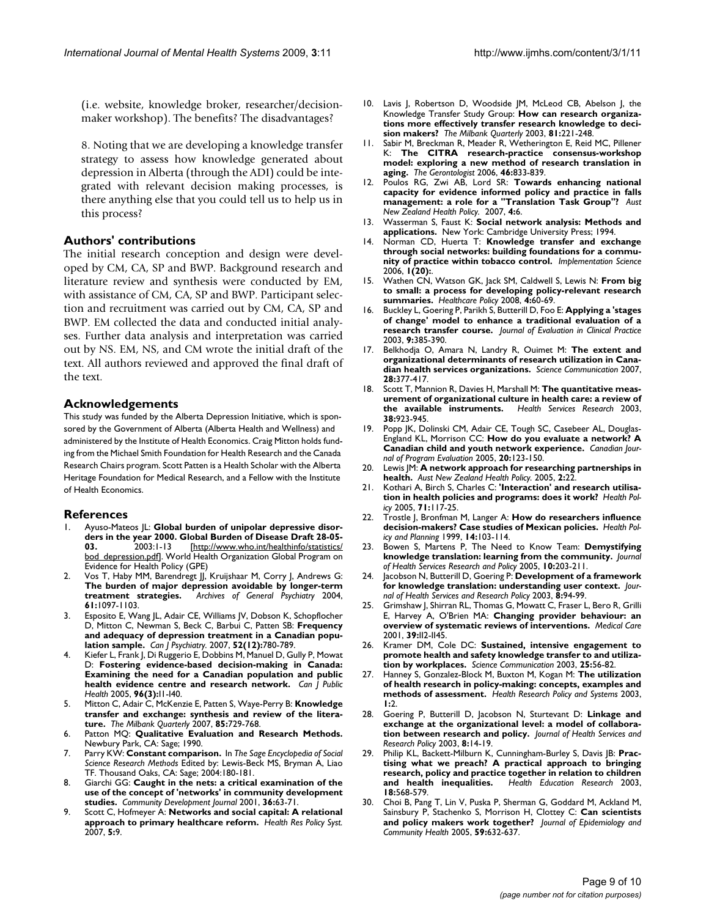(i.e. website, knowledge broker, researcher/decisionmaker workshop). The benefits? The disadvantages?

8. Noting that we are developing a knowledge transfer strategy to assess how knowledge generated about depression in Alberta (through the ADI) could be integrated with relevant decision making processes, is there anything else that you could tell us to help us in this process?

#### **Authors' contributions**

The initial research conception and design were developed by CM, CA, SP and BWP. Background research and literature review and synthesis were conducted by EM, with assistance of CM, CA, SP and BWP. Participant selection and recruitment was carried out by CM, CA, SP and BWP. EM collected the data and conducted initial analyses. Further data analysis and interpretation was carried out by NS. EM, NS, and CM wrote the initial draft of the text. All authors reviewed and approved the final draft of the text.

#### **Acknowledgements**

This study was funded by the Alberta Depression Initiative, which is sponsored by the Government of Alberta (Alberta Health and Wellness) and administered by the Institute of Health Economics. Craig Mitton holds funding from the Michael Smith Foundation for Health Research and the Canada Research Chairs program. Scott Patten is a Health Scholar with the Alberta Heritage Foundation for Medical Research, and a Fellow with the Institute of Health Economics.

#### **References**

- 1. Ayuso-Mateos JL: **Global burden of unipolar depressive disorders in the year 2000. Global Burden of Disease Draft 28-05-<br>03.** 2003:1-13 [http://www.who.int/healthinfo/statistics/ [\[http://www.who.int/healthinfo/statistics/](http://www.who.int/healthinfo/statistics/bod_depression.pdf) [bod\\_depression.pdf\]](http://www.who.int/healthinfo/statistics/bod_depression.pdf). World Health Organization Global Program on Evidence for Health Policy (GPE)
- 2. Vos T, Haby MM, Barendregt JJ, Kruijshaar M, Corry J, Andrews G: **[The burden of major depression avoidable by longer-term](http://www.ncbi.nlm.nih.gov/entrez/query.fcgi?cmd=Retrieve&db=PubMed&dopt=Abstract&list_uids=15520357) [treatment strategies.](http://www.ncbi.nlm.nih.gov/entrez/query.fcgi?cmd=Retrieve&db=PubMed&dopt=Abstract&list_uids=15520357)** *Archives of General Psychiatry* 2004, **61:**1097-1103.
- Esposito E, Wang JL, Adair CE, Williams JV, Dobson K, Schopflocher D, Mitton C, Newman S, Beck C, Barbui C, Patten SB: **[Frequency](http://www.ncbi.nlm.nih.gov/entrez/query.fcgi?cmd=Retrieve&db=PubMed&dopt=Abstract&list_uids=18186178) [and adequacy of depression treatment in a Canadian popu](http://www.ncbi.nlm.nih.gov/entrez/query.fcgi?cmd=Retrieve&db=PubMed&dopt=Abstract&list_uids=18186178)[lation sample.](http://www.ncbi.nlm.nih.gov/entrez/query.fcgi?cmd=Retrieve&db=PubMed&dopt=Abstract&list_uids=18186178)** *Can J Psychiatry.* 2007, **52(12):**780-789.
- Kiefer L, Frank J, Di Ruggerio E, Dobbins M, Manuel D, Gully P, Mowat D: **[Fostering evidence-based decision-making in Canada:](http://www.ncbi.nlm.nih.gov/entrez/query.fcgi?cmd=Retrieve&db=PubMed&dopt=Abstract&list_uids=15913085) [Examining the need for a Canadian population and public](http://www.ncbi.nlm.nih.gov/entrez/query.fcgi?cmd=Retrieve&db=PubMed&dopt=Abstract&list_uids=15913085) [health evidence centre and research network.](http://www.ncbi.nlm.nih.gov/entrez/query.fcgi?cmd=Retrieve&db=PubMed&dopt=Abstract&list_uids=15913085)** *Can J Public Health* 2005, **96(3):**I1-I40.
- 5. Mitton C, Adair C, McKenzie E, Patten S, Waye-Perry B: **[Knowledge](http://www.ncbi.nlm.nih.gov/entrez/query.fcgi?cmd=Retrieve&db=PubMed&dopt=Abstract&list_uids=18070335) [transfer and exchange: synthesis and review of the litera](http://www.ncbi.nlm.nih.gov/entrez/query.fcgi?cmd=Retrieve&db=PubMed&dopt=Abstract&list_uids=18070335)[ture.](http://www.ncbi.nlm.nih.gov/entrez/query.fcgi?cmd=Retrieve&db=PubMed&dopt=Abstract&list_uids=18070335)** *The Milbank Quarterly* 2007, **85:**729-768.
- 6. Patton MQ: **Qualitative Evaluation and Research Methods.** Newbury Park, CA: Sage; 1990.
- 7. Parry KW: **Constant comparison.** In *The Sage Encyclopedia of Social Science Research Methods* Edited by: Lewis-Beck MS, Bryman A, Liao TF. Thousand Oaks, CA: Sage; 2004:180-181.
- 8. Giarchi GG: **Caught in the nets: a critical examination of the use of the concept of 'networks' in community development studies.** *Community Development Journal* 2001, **36:**63-71.
- 9. Scott C, Hofmeyer A: **[Networks and social capital: A relational](http://www.ncbi.nlm.nih.gov/entrez/query.fcgi?cmd=Retrieve&db=PubMed&dopt=Abstract&list_uids=17894868) [approach to primary healthcare reform.](http://www.ncbi.nlm.nih.gov/entrez/query.fcgi?cmd=Retrieve&db=PubMed&dopt=Abstract&list_uids=17894868)** *Health Res Policy Syst.* 2007, **5:**9.
- 10. Lavis J, Robertson D, Woodside JM, McLeod CB, Abelson J, the Knowledge Transfer Study Group: **[How can research organiza](http://www.ncbi.nlm.nih.gov/entrez/query.fcgi?cmd=Retrieve&db=PubMed&dopt=Abstract&list_uids=12841049)[tions more effectively transfer research knowledge to deci](http://www.ncbi.nlm.nih.gov/entrez/query.fcgi?cmd=Retrieve&db=PubMed&dopt=Abstract&list_uids=12841049)[sion makers?](http://www.ncbi.nlm.nih.gov/entrez/query.fcgi?cmd=Retrieve&db=PubMed&dopt=Abstract&list_uids=12841049)** *The Milbank Quarterly* 2003, **81:**221-248.
- 11. Sabir M, Breckman R, Meader R, Wetherington E, Reid MC, Pillener K: **[The CITRA research-practice consensus-workshop](http://www.ncbi.nlm.nih.gov/entrez/query.fcgi?cmd=Retrieve&db=PubMed&dopt=Abstract&list_uids=17169939) [model: exploring a new method of research translation in](http://www.ncbi.nlm.nih.gov/entrez/query.fcgi?cmd=Retrieve&db=PubMed&dopt=Abstract&list_uids=17169939) [aging.](http://www.ncbi.nlm.nih.gov/entrez/query.fcgi?cmd=Retrieve&db=PubMed&dopt=Abstract&list_uids=17169939)** *The Gerontologist* 2006, **46:**833-839.
- 12. Poulos RG, Zwi AB, Lord SR: **[Towards enhancing national](http://www.ncbi.nlm.nih.gov/entrez/query.fcgi?cmd=Retrieve&db=PubMed&dopt=Abstract&list_uids=17537272) [capacity for evidence informed policy and practice in falls](http://www.ncbi.nlm.nih.gov/entrez/query.fcgi?cmd=Retrieve&db=PubMed&dopt=Abstract&list_uids=17537272) [management: a role for a "Translation Task Group"?](http://www.ncbi.nlm.nih.gov/entrez/query.fcgi?cmd=Retrieve&db=PubMed&dopt=Abstract&list_uids=17537272)** *Aust New Zealand Health Policy.* 2007, **4:**6.
- 13. Wasserman S, Faust K: **Social network analysis: Methods and applications.** New York: Cambridge University Press; 1994.
- 14. Norman CD, Huerta T: **[Knowledge transfer and exchange](http://www.ncbi.nlm.nih.gov/entrez/query.fcgi?cmd=Retrieve&db=PubMed&dopt=Abstract&list_uids=16999871) [through social networks: building foundations for a commu](http://www.ncbi.nlm.nih.gov/entrez/query.fcgi?cmd=Retrieve&db=PubMed&dopt=Abstract&list_uids=16999871)[nity of practice within tobacco control.](http://www.ncbi.nlm.nih.gov/entrez/query.fcgi?cmd=Retrieve&db=PubMed&dopt=Abstract&list_uids=16999871)** *Implementation Science* 2006, **1(20):**.
- 15. Wathen CN, Watson GK, Jack SM, Caldwell S, Lewis N: **[From big](http://www.ncbi.nlm.nih.gov/entrez/query.fcgi?cmd=Retrieve&db=PubMed&dopt=Abstract&list_uids=19377342) [to small: a process for developing policy-relevant research](http://www.ncbi.nlm.nih.gov/entrez/query.fcgi?cmd=Retrieve&db=PubMed&dopt=Abstract&list_uids=19377342) [summaries.](http://www.ncbi.nlm.nih.gov/entrez/query.fcgi?cmd=Retrieve&db=PubMed&dopt=Abstract&list_uids=19377342)** *Healthcare Policy* 2008, **4:**60-69.
- 16. Buckley L, Goering P, Parikh S, Butterill D, Foo E: **[Applying a 'stages](http://www.ncbi.nlm.nih.gov/entrez/query.fcgi?cmd=Retrieve&db=PubMed&dopt=Abstract&list_uids=14758960) [of change' model to enhance a traditional evaluation of a](http://www.ncbi.nlm.nih.gov/entrez/query.fcgi?cmd=Retrieve&db=PubMed&dopt=Abstract&list_uids=14758960) [research transfer course.](http://www.ncbi.nlm.nih.gov/entrez/query.fcgi?cmd=Retrieve&db=PubMed&dopt=Abstract&list_uids=14758960)** *Journal of Evaluation in Clinical Practice* 2003, **9:**385-390.
- 17. Belkhodja O, Amara N, Landry R, Ouimet M: **The extent and organizational determinants of research utilization in Canadian health services organizations.** *Science Communication* 2007, **28:**377-417.
- 18. Scott T, Mannion R, Davies H, Marshall M: **[The quantitative meas](http://www.ncbi.nlm.nih.gov/entrez/query.fcgi?cmd=Retrieve&db=PubMed&dopt=Abstract&list_uids=12822919)[urement of organizational culture in health care: a review of](http://www.ncbi.nlm.nih.gov/entrez/query.fcgi?cmd=Retrieve&db=PubMed&dopt=Abstract&list_uids=12822919) [the available instruments.](http://www.ncbi.nlm.nih.gov/entrez/query.fcgi?cmd=Retrieve&db=PubMed&dopt=Abstract&list_uids=12822919)** *Health Services Research* 2003, **38:**923-945.
- 19. Popp JK, Dolinski CM, Adair CE, Tough SC, Casebeer AL, Douglas-England KL, Morrison CC: **How do you evaluate a network? A Canadian child and youth network experience.** *Canadian Journal of Program Evaluation* 2005, **20:**123-150.
- 20. Lewis JM: **[A network approach for researching partnerships in](http://www.ncbi.nlm.nih.gov/entrez/query.fcgi?cmd=Retrieve&db=PubMed&dopt=Abstract&list_uids=16209718) [health.](http://www.ncbi.nlm.nih.gov/entrez/query.fcgi?cmd=Retrieve&db=PubMed&dopt=Abstract&list_uids=16209718)** *Aust New Zealand Health Policy.* 2005, **2:**22.
- 21. Kothari A, Birch S, Charles C: **['Interaction' and research utilisa](http://www.ncbi.nlm.nih.gov/entrez/query.fcgi?cmd=Retrieve&db=PubMed&dopt=Abstract&list_uids=15563998)[tion in health policies and programs: does it work?](http://www.ncbi.nlm.nih.gov/entrez/query.fcgi?cmd=Retrieve&db=PubMed&dopt=Abstract&list_uids=15563998)** *Health Policy* 2005, **71:**117-25.
- 22. Trostle J, Bronfman M, Langer A: **How do researchers influence decision-makers? Case studies of Mexican policies.** *Health Policy and Planning* 1999, **14:**103-114.
- 23. Bowen S, Martens P, The Need to Know Team: **Demystifying knowledge translation: learning from the community.** *Journal of Health Services Research and Policy* 2005, **10:**203-211.
- 24. Jacobson N, Butterill D, Goering P: **Development of a framework for knowledge translation: understanding user context.** *Journal of Health Services and Research Policy* 2003, **8:**94-99.
- 25. Grimshaw J, Shirran RL, Thomas G, Mowatt C, Fraser L, Bero R, Grilli E, Harvey A, O'Brien MA: **[Changing provider behaviour: an](http://www.ncbi.nlm.nih.gov/entrez/query.fcgi?cmd=Retrieve&db=PubMed&dopt=Abstract&list_uids=11583120) [overview of systematic reviews of interventions.](http://www.ncbi.nlm.nih.gov/entrez/query.fcgi?cmd=Retrieve&db=PubMed&dopt=Abstract&list_uids=11583120)** *Medical Care* 2001, **39:**II2-II45.
- 26. Kramer DM, Cole DC: **Sustained, intensive engagement to promote health and safety knowledge transfer to and utilization by workplaces.** *Science Communication* 2003, **25:**56-82.
- 27. Hanney S, Gonzalez-Block M, Buxton M, Kogan M: **The utilization of health research in policy-making: concepts, examples and methods of assessment.** *Health Research Policy and Systems* 2003, **1:**2.
- 28. Goering P, Butterill D, Jacobson N, Sturtevant D: **Linkage and exchange at the organizational level: a model of collaboration between research and policy.** *Journal of Health Services and Research Policy* 2003, **8:**14-19.
- 29. Philip KL, Backett-Milburn K, Cunningham-Burley S, Davis JB: **[Prac](http://www.ncbi.nlm.nih.gov/entrez/query.fcgi?cmd=Retrieve&db=PubMed&dopt=Abstract&list_uids=14572017)[tising what we preach? A practical approach to bringing](http://www.ncbi.nlm.nih.gov/entrez/query.fcgi?cmd=Retrieve&db=PubMed&dopt=Abstract&list_uids=14572017) research, policy and practice together in relation to children [and health inequalities.](http://www.ncbi.nlm.nih.gov/entrez/query.fcgi?cmd=Retrieve&db=PubMed&dopt=Abstract&list_uids=14572017)** *Health Education Research* 2003, **18:**568-579.
- 30. Choi B, Pang T, Lin V, Puska P, Sherman G, Goddard M, Ackland M, Sainsbury P, Stachenko S, Morrison H, Clottey C: **Can scientists and policy makers work together?** *Journal of Epidemiology and Community Health* 2005, **59:**632-637.